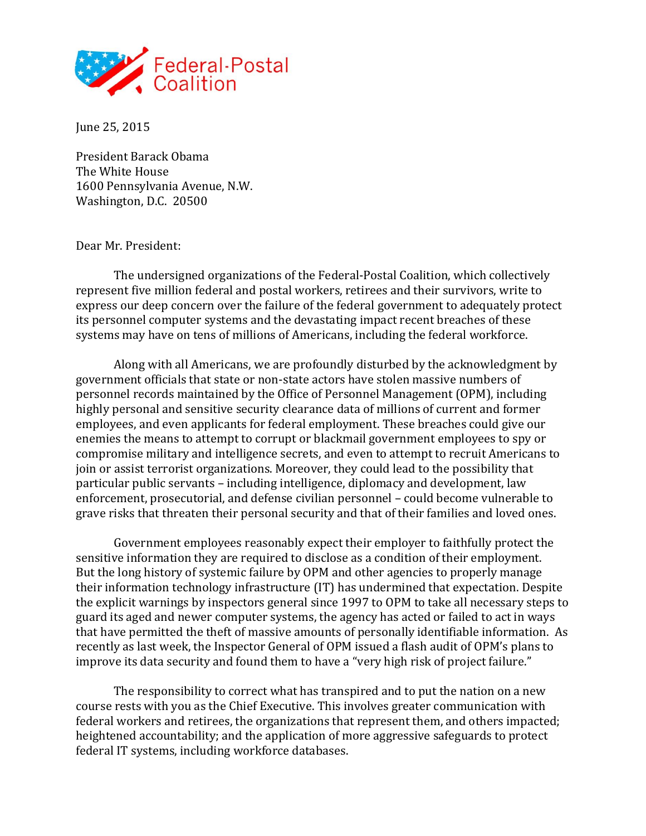

June 25, 2015

President Barack Obama The White House 1600 Pennsylvania Avenue, N.W. Washington, D.C. 20500

## Dear Mr. President:

The undersigned organizations of the Federal-Postal Coalition, which collectively represent five million federal and postal workers, retirees and their survivors, write to express our deep concern over the failure of the federal government to adequately protect its personnel computer systems and the devastating impact recent breaches of these systems may have on tens of millions of Americans, including the federal workforce.

Along with all Americans, we are profoundly disturbed by the acknowledgment by government officials that state or non-state actors have stolen massive numbers of personnel records maintained by the Office of Personnel Management (OPM), including highly personal and sensitive security clearance data of millions of current and former employees, and even applicants for federal employment. These breaches could give our enemies the means to attempt to corrupt or blackmail government employees to spy or compromise military and intelligence secrets, and even to attempt to recruit Americans to join or assist terrorist organizations. Moreover, they could lead to the possibility that particular public servants – including intelligence, diplomacy and development, law enforcement, prosecutorial, and defense civilian personnel – could become vulnerable to grave risks that threaten their personal security and that of their families and loved ones.

Government employees reasonably expect their employer to faithfully protect the sensitive information they are required to disclose as a condition of their employment. But the long history of systemic failure by OPM and other agencies to properly manage their information technology infrastructure (IT) has undermined that expectation. Despite the explicit warnings by inspectors general since 1997 to OPM to take all necessary steps to guard its aged and newer computer systems, the agency has acted or failed to act in ways that have permitted the theft of massive amounts of personally identifiable information. As recently as last week, the Inspector General of OPM issued a flash audit of OPM's plans to improve its data security and found them to have a "very high risk of project failure."

The responsibility to correct what has transpired and to put the nation on a new course rests with you as the Chief Executive. This involves greater communication with federal workers and retirees, the organizations that represent them, and others impacted; heightened accountability; and the application of more aggressive safeguards to protect federal IT systems, including workforce databases.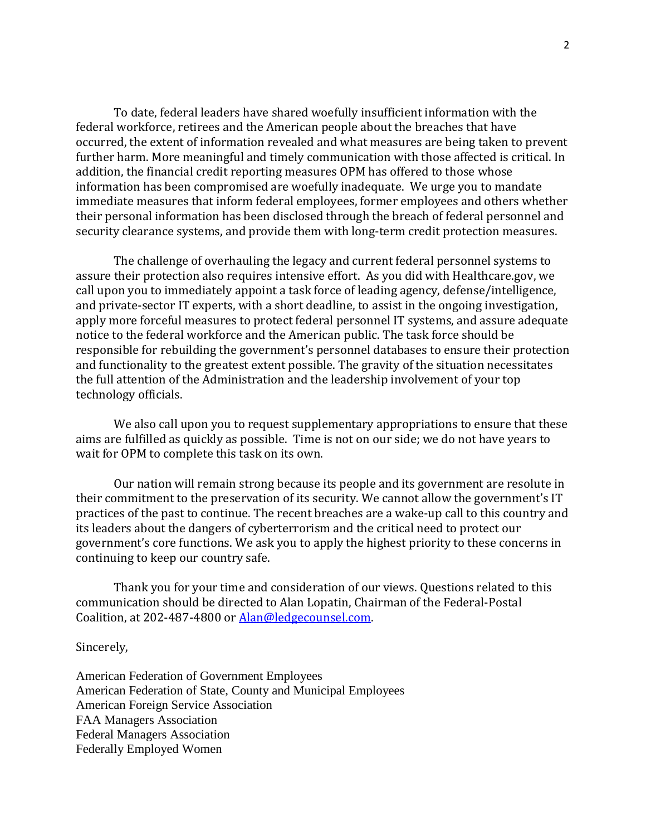To date, federal leaders have shared woefully insufficient information with the federal workforce, retirees and the American people about the breaches that have occurred, the extent of information revealed and what measures are being taken to prevent further harm. More meaningful and timely communication with those affected is critical. In addition, the financial credit reporting measures OPM has offered to those whose information has been compromised are woefully inadequate. We urge you to mandate immediate measures that inform federal employees, former employees and others whether their personal information has been disclosed through the breach of federal personnel and security clearance systems, and provide them with long-term credit protection measures.

The challenge of overhauling the legacy and current federal personnel systems to assure their protection also requires intensive effort. As you did with Healthcare.gov, we call upon you to immediately appoint a task force of leading agency, defense/intelligence, and private-sector IT experts, with a short deadline, to assist in the ongoing investigation, apply more forceful measures to protect federal personnel IT systems, and assure adequate notice to the federal workforce and the American public. The task force should be responsible for rebuilding the government's personnel databases to ensure their protection and functionality to the greatest extent possible. The gravity of the situation necessitates the full attention of the Administration and the leadership involvement of your top technology officials.

We also call upon you to request supplementary appropriations to ensure that these aims are fulfilled as quickly as possible. Time is not on our side; we do not have years to wait for OPM to complete this task on its own.

Our nation will remain strong because its people and its government are resolute in their commitment to the preservation of its security. We cannot allow the government's IT practices of the past to continue. The recent breaches are a wake-up call to this country and its leaders about the dangers of cyberterrorism and the critical need to protect our government's core functions. We ask you to apply the highest priority to these concerns in continuing to keep our country safe.

Thank you for your time and consideration of our views. Questions related to this communication should be directed to Alan Lopatin, Chairman of the Federal-Postal Coalition, at 202-487-4800 o[r Alan@ledgecounsel.com.](mailto:Alan@ledgecounsel.com)

Sincerely,

American Federation of Government Employees American Federation of State, County and Municipal Employees American Foreign Service Association FAA Managers Association Federal Managers Association Federally Employed Women